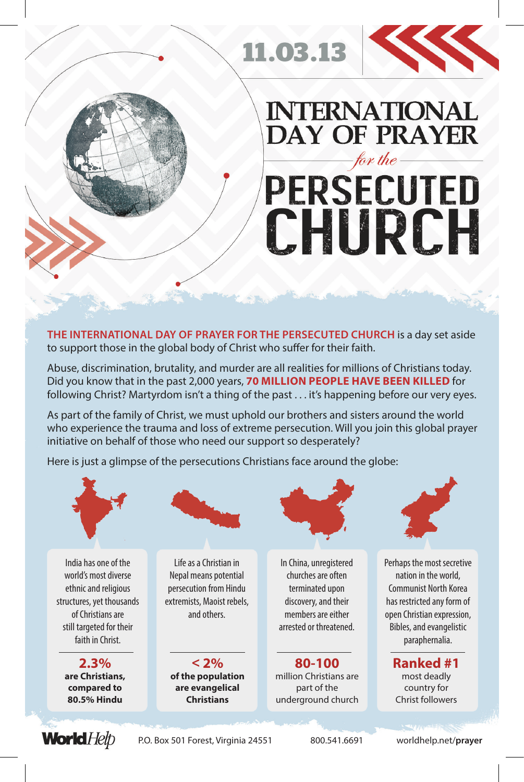

## **INTERNATIONAL DAY OF PRAYER** for the **PERSECUTED** CHURCH

**THE INTERNATIONAL DAY OF PRAYER FOR THE PERSECUTED CHURCH** is a day set aside to support those in the global body of Christ who suffer for their faith.

11.03.13

Abuse, discrimination, brutality, and murder are all realities for millions of Christians today. Did you know that in the past 2,000 years, **70 MILLION PEOPLE HAVE BEEN KILLED** for following Christ? Martyrdom isn't a thing of the past . . . it's happening before our very eyes.

As part of the family of Christ, we must uphold our brothers and sisters around the world who experience the trauma and loss of extreme persecution. Will you join this global prayer initiative on behalf of those who need our support so desperately?

Here is just a glimpse of the persecutions Christians face around the globe: